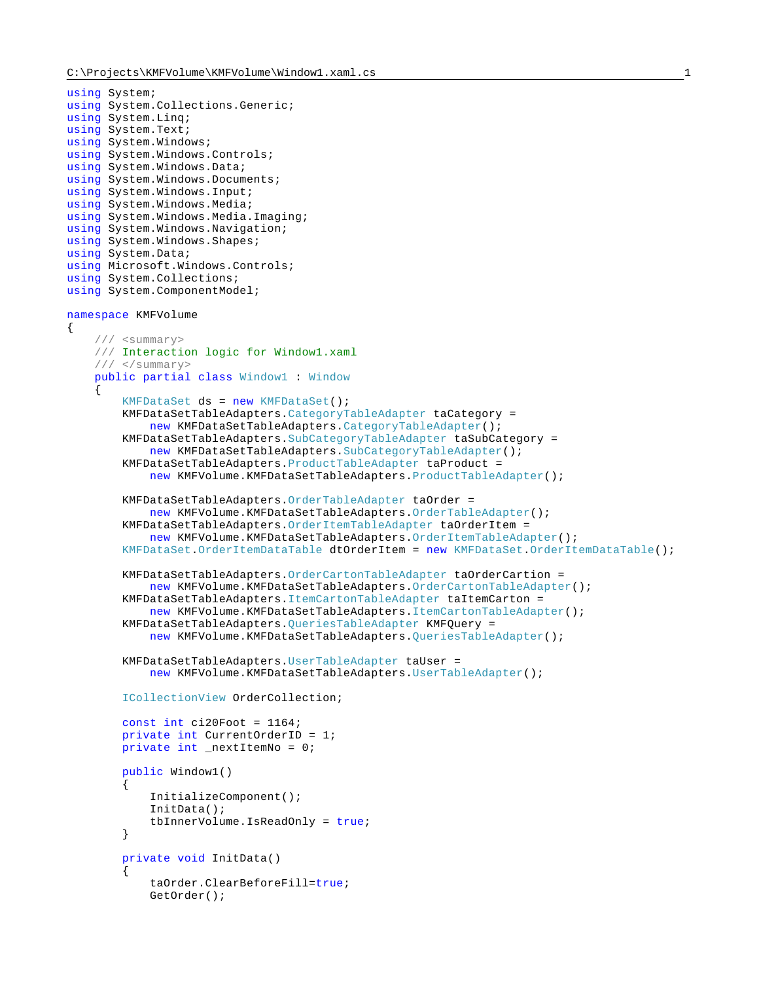```
using System;
using System.Collections.Generic;
using System.Linq;
using System.Text;
using System.Windows;
using System.Windows.Controls;
using System.Windows.Data;
using System. Windows. Documents;
using System.Windows.Input;
using System.Windows.Media;
using System.Windows.Media.Imaging;
using System.Windows.Navigation;
using System.Windows.Shapes;
using System.Data;
using Microsoft.Windows.Controls;
using System.Collections;
using System.ComponentModel;
namespace KMFVolume
{
     /// <summary>
     /// Interaction logic for Window1.xaml
     /// </summary>
     public partial class Window1 : Window
\left\{\begin{array}{ccc} \end{array}\right\} KMFDataSet ds = new KMFDataSet();
         KMFDataSetTableAdapters.CategoryTableAdapter taCategory =
             new KMFDataSetTableAdapters.CategoryTableAdapter();
         KMFDataSetTableAdapters.SubCategoryTableAdapter taSubCategory =
            new KMFDataSetTableAdapters.SubCategoryTableAdapter();
         KMFDataSetTableAdapters.ProductTableAdapter taProduct =
             new KMFVolume.KMFDataSetTableAdapters.ProductTableAdapter();
         KMFDataSetTableAdapters.OrderTableAdapter taOrder =
             new KMFVolume.KMFDataSetTableAdapters.OrderTableAdapter();
         KMFDataSetTableAdapters.OrderItemTableAdapter taOrderItem =
             new KMFVolume.KMFDataSetTableAdapters.OrderItemTableAdapter();
         KMFDataSet.OrderItemDataTable dtOrderItem = new KMFDataSet.OrderItemDataTable();
         KMFDataSetTableAdapters.OrderCartonTableAdapter taOrderCartion =
             new KMFVolume.KMFDataSetTableAdapters.OrderCartonTableAdapter();
         KMFDataSetTableAdapters.ItemCartonTableAdapter taItemCarton =
             new KMFVolume.KMFDataSetTableAdapters.ItemCartonTableAdapter();
         KMFDataSetTableAdapters.QueriesTableAdapter KMFQuery =
             new KMFVolume.KMFDataSetTableAdapters.QueriesTableAdapter();
         KMFDataSetTableAdapters.UserTableAdapter taUser =
            new KMFVolume.KMFDataSetTableAdapters.UserTableAdapter();
         ICollectionView OrderCollection;
        const int ci20Foot = 1164;
         private int CurrentOrderID = 1;
         private int _nextItemNo = 0;
         public Window1()
\{ InitializeComponent();
             InitData();
             tbInnerVolume.IsReadOnly = true;
         }
         private void InitData()
\{ taOrder.ClearBeforeFill=true;
             GetOrder();
```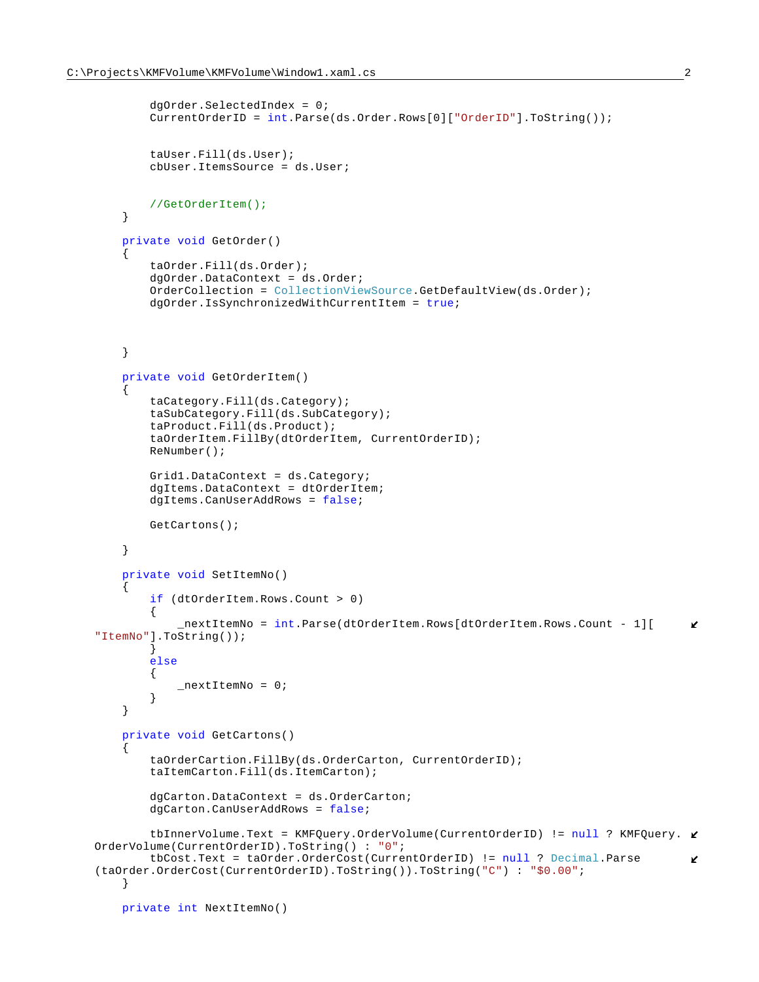```
 dgOrder.SelectedIndex = 0;
            CurrentOrderID = int.Parse(ds.Order.Rows[0]["OrderID"].ToString());
            taUser.Fill(ds.User);
            cbUser.ItemsSource = ds.User;
            //GetOrderItem();
        }
        private void GetOrder()
\{ taOrder.Fill(ds.Order);
            dgOrder.DataContext = ds.Order;
            OrderCollection = CollectionViewSource.GetDefaultView(ds.Order);
            dgOrder.IsSynchronizedWithCurrentItem = true;
        }
        private void GetOrderItem()
\{ taCategory.Fill(ds.Category);
            taSubCategory.Fill(ds.SubCategory);
            taProduct.Fill(ds.Product);
            taOrderItem.FillBy(dtOrderItem, CurrentOrderID);
            ReNumber();
            Grid1.DataContext = ds.Category;
            dgItems.DataContext = dtOrderItem;
           dgItems.CanUserAddRows = false;
            GetCartons(); 
        }
        private void SetItemNo()
\{ if (dtOrderItem.Rows.Count > 0)
\{ _nextItemNo = int.Parse(dtOrderItem.Rows[dtOrderItem.Rows.Count - 1][
                                                                                          K.
   "ItemNo"].ToString());
 }
            else
\{_nextItemNo = 0;<br>}
 }
        }
        private void GetCartons()
\{ taOrderCartion.FillBy(ds.OrderCarton, CurrentOrderID);
            taItemCarton.Fill(ds.ItemCarton);
            dgCarton.DataContext = ds.OrderCarton;
            dgCarton.CanUserAddRows = false;
           tbInnerVolume.Text = KMFQuery.OrderVolume(CurrentOrderID) != null ? KMFQuery. \mathcal{C}OrderVolume(CurrentOrderID).ToString() : "0";
            tbCost.Text = taOrder.OrderCost(CurrentOrderID) != null ? Decimal.Parse
                                                                                          K,
    (taOrder.OrderCost(CurrentOrderID).ToString()).ToString("C") : "$0.00";
        }
        private int NextItemNo()
```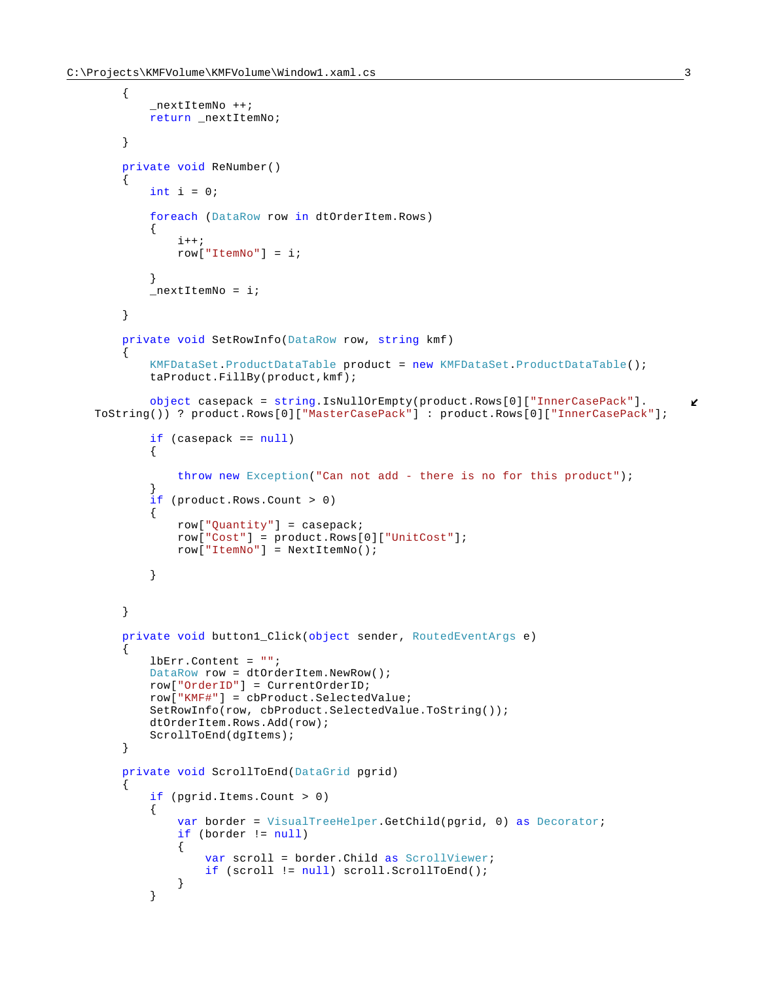{

```
 _nextItemNo ++;
           return _nextItemNo;
        }
        private void ReNumber()
\{int i = 0; foreach (DataRow row in dtOrderItem.Rows)
\{i++;row["ItemNo"] = i;
 }
          nextItemNo = i; }
        private void SetRowInfo(DataRow row, string kmf)
\{ KMFDataSet.ProductDataTable product = new KMFDataSet.ProductDataTable();
           taProduct.FillBy(product,kmf);
           object casepack = string.IsNullOrEmpty(product.Rows[0]["InnerCasePack"].
                                                                                    K
   ToString()) ? product.Rows[0]["MasterCasePack"] : product.Rows[0]["InnerCasePack"];
           if (casepack == null)
\{ throw new Exception("Can not add - there is no for this product");
 }
           if (product.Rows.Count > 0)
\{ row["Quantity"] = casepack;
               row["Cost"] = product.Rows[0]["UnitCost"];
               row["ItemNo"] = NextItemNo();
 }
        }
        private void button1_Click(object sender, RoutedEventArgs e)
\{ lbErr.Content = "";
           DataRow row = dtOrderItem.NewRow();
           row["OrderID"] = CurrentOrderID;
           row["KMF#"] = cbProduct.SelectedValue;
           SetRowInfo(row, cbProduct.SelectedValue.ToString()); 
           dtOrderItem.Rows.Add(row);
           ScrollToEnd(dgItems); 
        }
        private void ScrollToEnd(DataGrid pgrid)
\{ if (pgrid.Items.Count > 0)
\{ var border = VisualTreeHelper.GetChild(pgrid, 0) as Decorator;
               if (border != null)
{
                   var scroll = border.Child as ScrollViewer;
                   if (scroll != null) scroll.ScrollToEnd();
 }
 }
```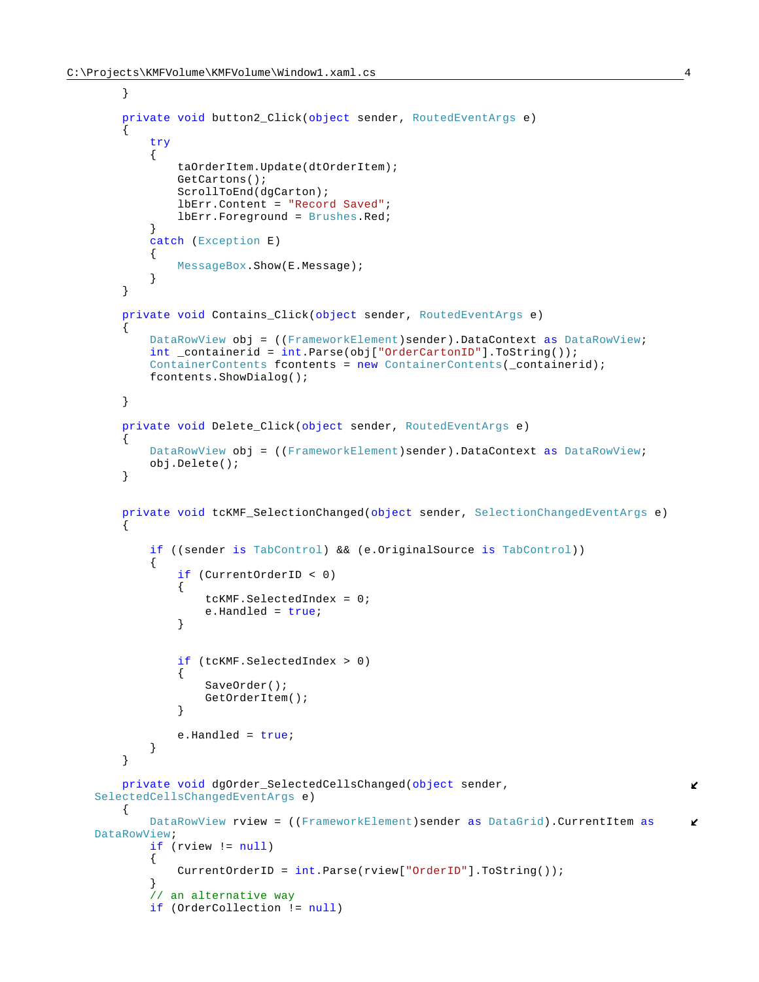```
 }
        private void button2_Click(object sender, RoutedEventArgs e)
        {
           try
\{ taOrderItem.Update(dtOrderItem);
               GetCartons();
              ScrollToEnd(dgCarton);
               lbErr.Content = "Record Saved";
               lbErr.Foreground = Brushes.Red;
 }
           catch (Exception E)
\{ MessageBox.Show(E.Message);
 }
        }
        private void Contains_Click(object sender, RoutedEventArgs e)
\{ DataRowView obj = ((FrameworkElement)sender).DataContext as DataRowView;
           int _containerid = int.Parse(obj["OrderCartonID"].ToString());
           ContainerContents fcontents = new ContainerContents(_containerid);
           fcontents.ShowDialog();
        }
        private void Delete_Click(object sender, RoutedEventArgs e)
\{ DataRowView obj = ((FrameworkElement)sender).DataContext as DataRowView;
           obj.Delete();
        }
        private void tcKMF_SelectionChanged(object sender, SelectionChangedEventArgs e)
\{ if ((sender is TabControl) && (e.OriginalSource is TabControl))
\{ if (CurrentOrderID < 0)
{
                   tcKMF.SelectedIndex = 0;
                   e.Handled = true;
 }
               if (tcKMF.SelectedIndex > 0)
{
                   SaveOrder();
                  GetOrderItem();
 }
              e.Handled = true;
 }
        }
        private void dgOrder_SelectedCellsChanged(object sender, 
                                                                                   V.
   SelectedCellsChangedEventArgs e)
        {
           DataRowView rview = ((FrameworkElement)sender as DataGrid).CurrentItem as
                                                                                   K.
   DataRowView;
           if (rview != null)
\{ CurrentOrderID = int.Parse(rview["OrderID"].ToString());
 }
            // an alternative way
           if (OrderCollection != null)
```